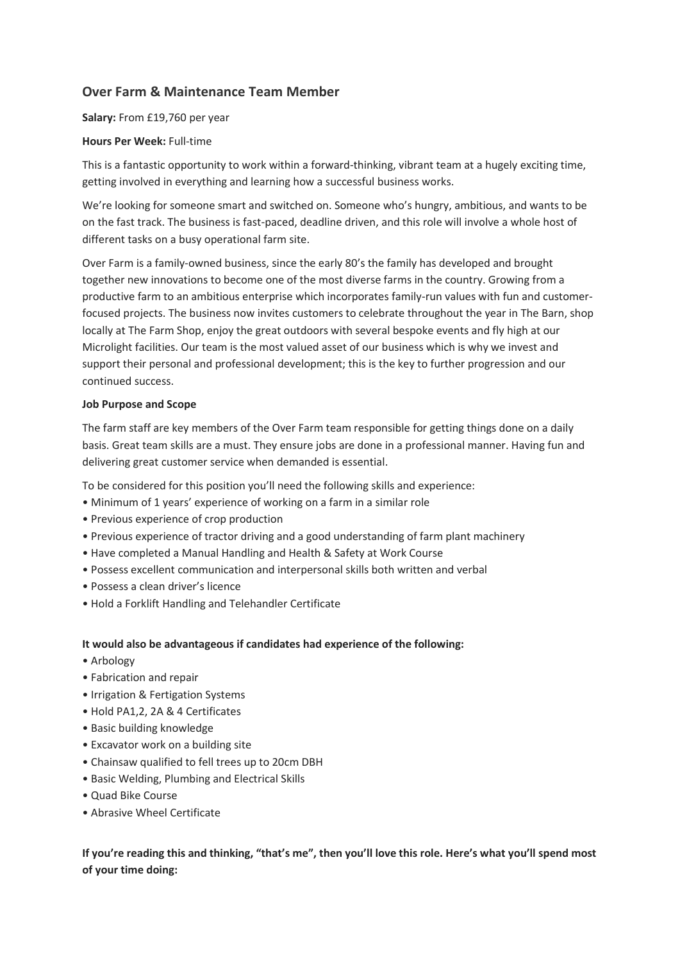# **Over Farm & Maintenance Team Member**

**Salary:** From £19,760 per year

## **Hours Per Week:** Full-time

This is a fantastic opportunity to work within a forward-thinking, vibrant team at a hugely exciting time, getting involved in everything and learning how a successful business works.

We're looking for someone smart and switched on. Someone who's hungry, ambitious, and wants to be on the fast track. The business is fast-paced, deadline driven, and this role will involve a whole host of different tasks on a busy operational farm site.

Over Farm is a family-owned business, since the early 80's the family has developed and brought together new innovations to become one of the most diverse farms in the country. Growing from a productive farm to an ambitious enterprise which incorporates family-run values with fun and customerfocused projects. The business now invites customers to celebrate throughout the year in The Barn, shop locally at The Farm Shop, enjoy the great outdoors with several bespoke events and fly high at our Microlight facilities. Our team is the most valued asset of our business which is why we invest and support their personal and professional development; this is the key to further progression and our continued success.

### **Job Purpose and Scope**

The farm staff are key members of the Over Farm team responsible for getting things done on a daily basis. Great team skills are a must. They ensure jobs are done in a professional manner. Having fun and delivering great customer service when demanded is essential.

To be considered for this position you'll need the following skills and experience:

- Minimum of 1 years' experience of working on a farm in a similar role
- Previous experience of crop production
- Previous experience of tractor driving and a good understanding of farm plant machinery
- Have completed a Manual Handling and Health & Safety at Work Course
- Possess excellent communication and interpersonal skills both written and verbal
- Possess a clean driver's licence
- Hold a Forklift Handling and Telehandler Certificate

#### **It would also be advantageous if candidates had experience of the following:**

- Arbology
- Fabrication and repair
- Irrigation & Fertigation Systems
- Hold PA1,2, 2A & 4 Certificates
- Basic building knowledge
- Excavator work on a building site
- Chainsaw qualified to fell trees up to 20cm DBH
- Basic Welding, Plumbing and Electrical Skills
- Quad Bike Course
- Abrasive Wheel Certificate

**If you're reading this and thinking, "that's me", then you'll love this role. Here's what you'll spend most of your time doing:**